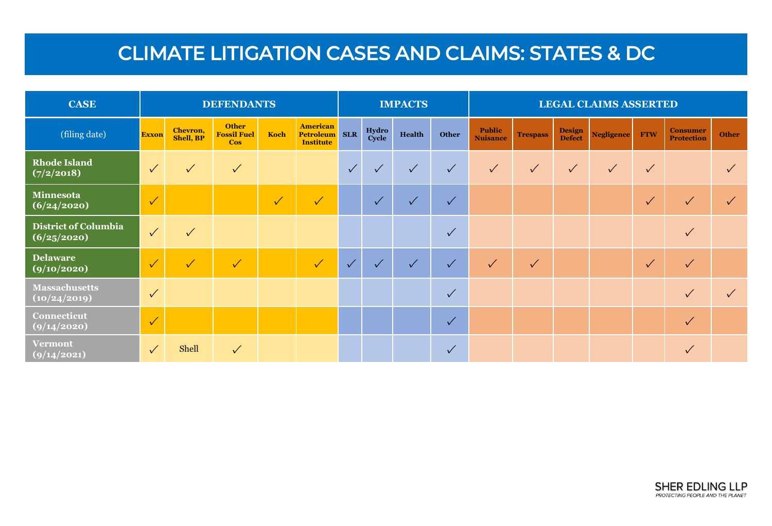## CLIMATE LITIGATION CASES AND CLAIMS: STATES & DC

| <b>CASE</b>                                | <b>DEFENDANTS</b> |                              |                                                  |           | <b>IMPACTS</b>                                          |              |                |              | <b>LEGAL CLAIMS ASSERTED</b> |                                  |                 |                                |                   |              |                                      |              |
|--------------------------------------------|-------------------|------------------------------|--------------------------------------------------|-----------|---------------------------------------------------------|--------------|----------------|--------------|------------------------------|----------------------------------|-----------------|--------------------------------|-------------------|--------------|--------------------------------------|--------------|
| (filing date)                              | <b>Exxon</b>      | Chevron,<br><b>Shell, BP</b> | <b>Other</b><br><b>Fossil Fuel</b><br><b>Cos</b> | Koch      | <b>American</b><br><b>Petroleum</b><br><b>Institute</b> | <b>SLR</b>   | Hydro<br>Cycle | Health       | Other                        | <b>Public</b><br><b>Nuisance</b> | <b>Trespass</b> | <b>Design</b><br><b>Defect</b> | <b>Negligence</b> | <b>FTW</b>   | <b>Consumer</b><br><b>Protection</b> | <b>Other</b> |
| <b>Rhode Island</b><br>(7/2/2018)          | $\sqrt{}$         | $\sqrt{}$                    | $\checkmark$                                     |           |                                                         | $\checkmark$ | $\sqrt{}$      | $\checkmark$ | $\sqrt{}$                    | $\checkmark$                     | $\checkmark$    | $\checkmark$                   | $\checkmark$      | $\checkmark$ |                                      |              |
| Minnesota<br>(6/24/2020)                   | $\sqrt{}$         |                              |                                                  | $\sqrt{}$ | $\sqrt{}$                                               |              | $\checkmark$   | $\sqrt{ }$   | $\checkmark$                 |                                  |                 |                                |                   | $\checkmark$ | $\checkmark$                         |              |
| <b>District of Columbia</b><br>(6/25/2020) | $\checkmark$      | $\checkmark$                 |                                                  |           |                                                         |              |                |              | $\checkmark$                 |                                  |                 |                                |                   |              | $\checkmark$                         |              |
| <b>Delaware</b><br>(9/10/2020)             | $\sqrt{}$         | $\sqrt{}$                    | $\blacktriangledown$                             |           | $\sqrt{}$                                               | $\checkmark$ | $\checkmark$   | $\checkmark$ | $\checkmark$                 | $\checkmark$                     | $\checkmark$    |                                |                   | $\sqrt{}$    | $\checkmark$                         |              |
| <b>Massachusetts</b><br>(10/24/2019)       | $\checkmark$      |                              |                                                  |           |                                                         |              |                |              | $\checkmark$                 |                                  |                 |                                |                   |              | $\checkmark$                         |              |
| Connecticut<br>(9/14/2020)                 | $\sqrt{}$         |                              |                                                  |           |                                                         |              |                |              | $\checkmark$                 |                                  |                 |                                |                   |              | $\checkmark$                         |              |
| <b>Vermont</b><br>(9/14/2021)              | $\sqrt{}$         | Shell                        | $\checkmark$                                     |           |                                                         |              |                |              | $\checkmark$                 |                                  |                 |                                |                   |              | $\checkmark$                         |              |